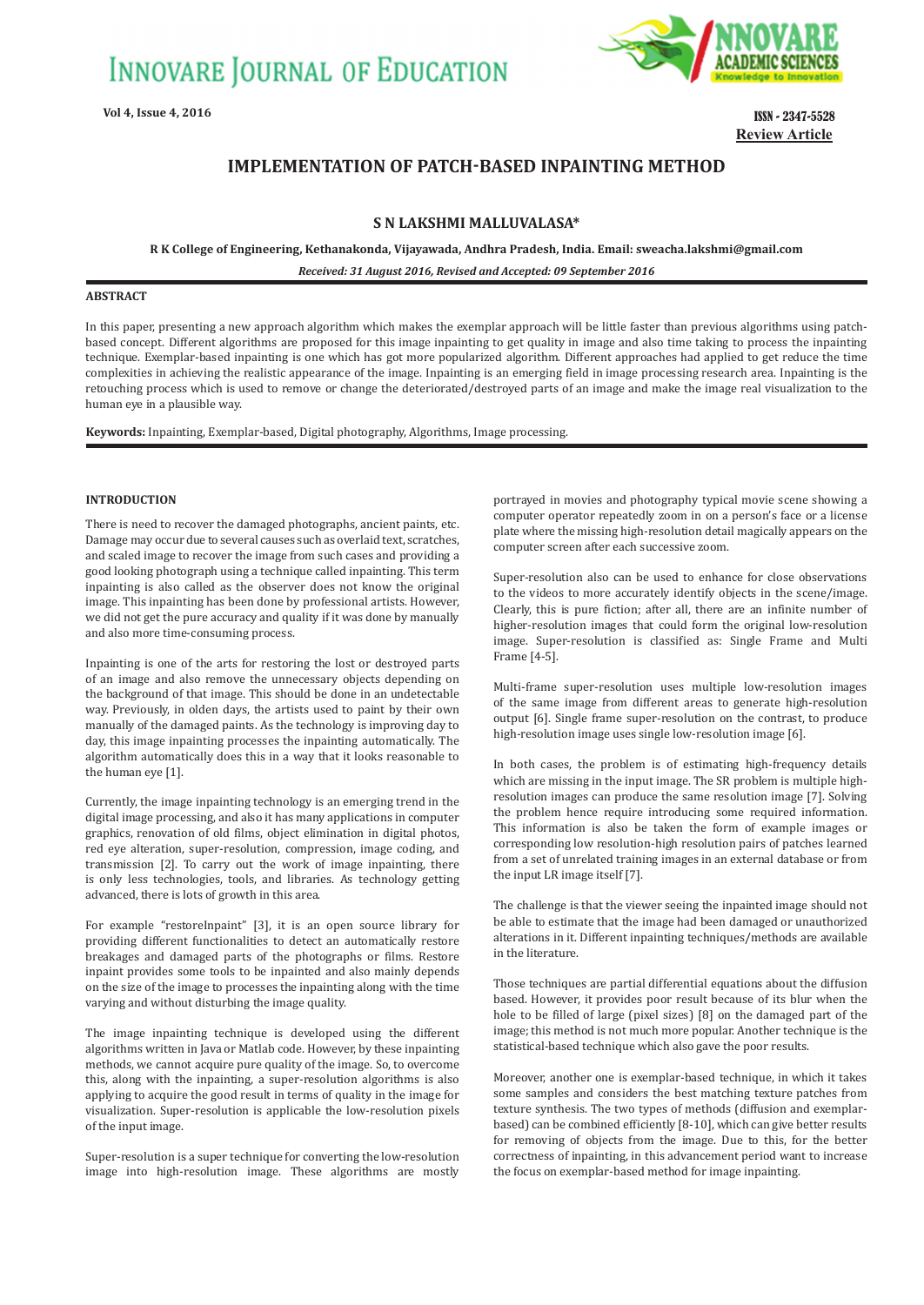

**Vol 4, Issue 4, 2016** ISSN - 2347-5528 **Review Article**

# **IMPLEMENTATION OF PATCH-BASED INPAINTING METHOD**

# **S N LAKSHMI MALLUVALASA\***

**R K College of Engineering, Kethanakonda, Vijayawada, Andhra Pradesh, India. Email: sweacha.lakshmi@gmail.com**

*Received: 31 August 2016, Revised and Accepted: 09 September 2016*

# **ABSTRACT**

In this paper, presenting a new approach algorithm which makes the exemplar approach will be little faster than previous algorithms using patchbased concept. Different algorithms are proposed for this image inpainting to get quality in image and also time taking to process the inpainting technique. Exemplar-based inpainting is one which has got more popularized algorithm. Different approaches had applied to get reduce the time complexities in achieving the realistic appearance of the image. Inpainting is an emerging field in image processing research area. Inpainting is the retouching process which is used to remove or change the deteriorated/destroyed parts of an image and make the image real visualization to the human eye in a plausible way.

**Keywords:** Inpainting, Exemplar-based, Digital photography, Algorithms, Image processing.

# **INTRODUCTION**

There is need to recover the damaged photographs, ancient paints, etc. Damage may occur due to several causes such as overlaid text, scratches, and scaled image to recover the image from such cases and providing a good looking photograph using a technique called inpainting. This term inpainting is also called as the observer does not know the original image. This inpainting has been done by professional artists. However, we did not get the pure accuracy and quality if it was done by manually and also more time-consuming process.

Inpainting is one of the arts for restoring the lost or destroyed parts of an image and also remove the unnecessary objects depending on the background of that image. This should be done in an undetectable way. Previously, in olden days, the artists used to paint by their own manually of the damaged paints. As the technology is improving day to day, this image inpainting processes the inpainting automatically. The algorithm automatically does this in a way that it looks reasonable to the human eye [1].

Currently, the image inpainting technology is an emerging trend in the digital image processing, and also it has many applications in computer graphics, renovation of old films, object elimination in digital photos, red eye alteration, super-resolution, compression, image coding, and transmission [2]. To carry out the work of image inpainting, there is only less technologies, tools, and libraries. As technology getting advanced, there is lots of growth in this area.

For example "restoreInpaint" [3], it is an open source library for providing different functionalities to detect an automatically restore breakages and damaged parts of the photographs or films. Restore inpaint provides some tools to be inpainted and also mainly depends on the size of the image to processes the inpainting along with the time varying and without disturbing the image quality.

The image inpainting technique is developed using the different algorithms written in Java or Matlab code. However, by these inpainting methods, we cannot acquire pure quality of the image. So, to overcome this, along with the inpainting, a super-resolution algorithms is also applying to acquire the good result in terms of quality in the image for visualization. Super-resolution is applicable the low-resolution pixels of the input image.

Super-resolution is a super technique for converting the low-resolution image into high-resolution image. These algorithms are mostly

portrayed in movies and photography typical movie scene showing a computer operator repeatedly zoom in on a person's face or a license plate where the missing high-resolution detail magically appears on the computer screen after each successive zoom.

Super-resolution also can be used to enhance for close observations to the videos to more accurately identify objects in the scene/image. Clearly, this is pure fiction; after all, there are an infinite number of higher-resolution images that could form the original low-resolution image. Super-resolution is classified as: Single Frame and Multi Frame [4-5].

Multi-frame super-resolution uses multiple low-resolution images of the same image from different areas to generate high-resolution output [6]. Single frame super-resolution on the contrast, to produce high-resolution image uses single low-resolution image [6].

In both cases, the problem is of estimating high-frequency details which are missing in the input image. The SR problem is multiple highresolution images can produce the same resolution image [7]. Solving the problem hence require introducing some required information. This information is also be taken the form of example images or corresponding low resolution-high resolution pairs of patches learned from a set of unrelated training images in an external database or from the input LR image itself [7].

The challenge is that the viewer seeing the inpainted image should not be able to estimate that the image had been damaged or unauthorized alterations in it. Different inpainting techniques/methods are available in the literature.

Those techniques are partial differential equations about the diffusion based. However, it provides poor result because of its blur when the hole to be filled of large (pixel sizes) [8] on the damaged part of the image; this method is not much more popular. Another technique is the statistical-based technique which also gave the poor results.

Moreover, another one is exemplar-based technique, in which it takes some samples and considers the best matching texture patches from texture synthesis. The two types of methods (diffusion and exemplarbased) can be combined efficiently [8-10], which can give better results for removing of objects from the image. Due to this, for the better correctness of inpainting, in this advancement period want to increase the focus on exemplar-based method for image inpainting.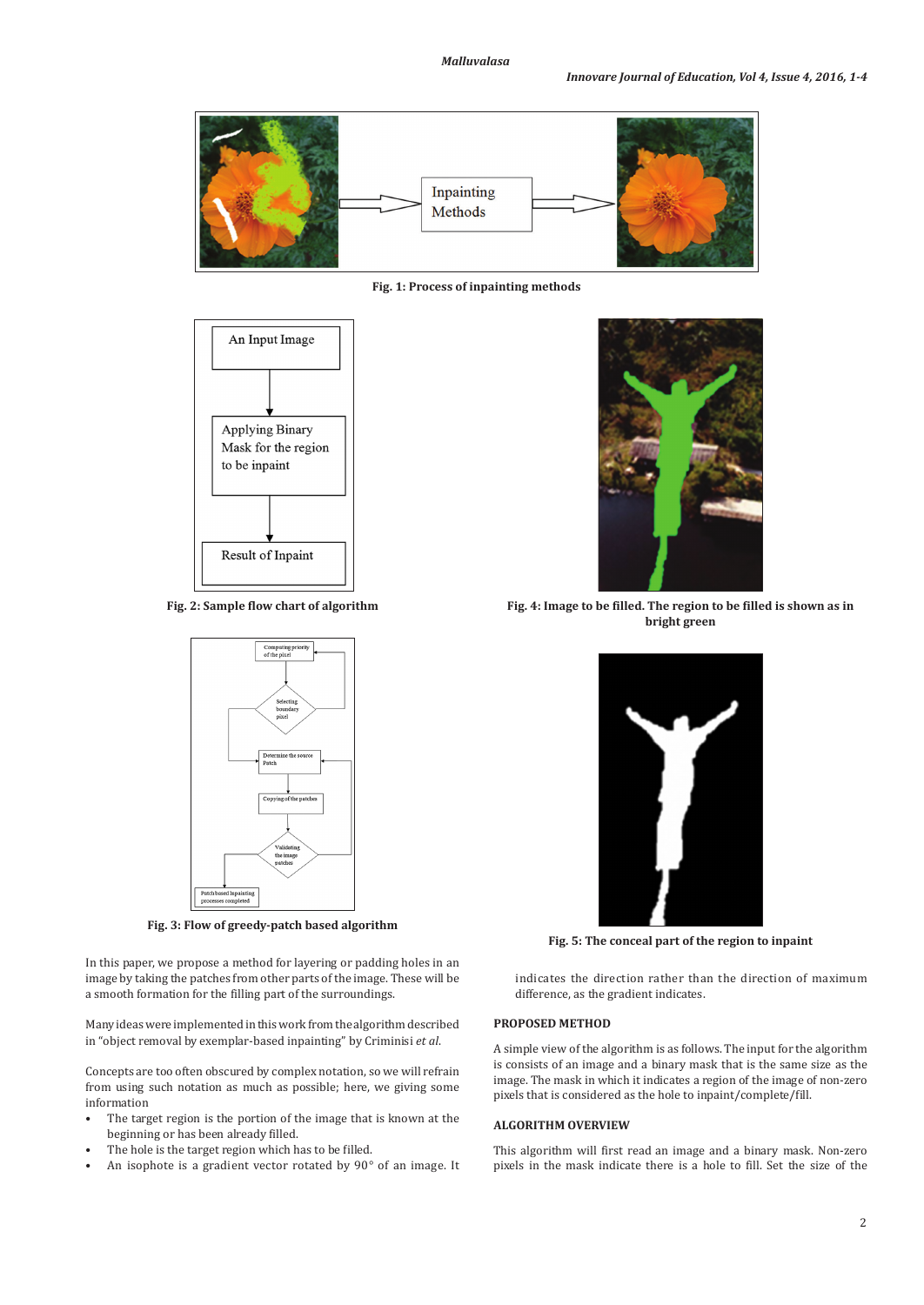

**Fig. 1: Process of inpainting methods**



**Fig. 2: Sample flow chart of algorithm**



**Fig. 3: Flow of greedy-patch based algorithm**

In this paper, we propose a method for layering or padding holes in an image by taking the patches from other parts of the image. These will be a smooth formation for the filling part of the surroundings.

Many ideas were implemented in this work from the algorithm described in "object removal by exemplar-based inpainting" by Criminisi *et al*.

Concepts are too often obscured by complex notation, so we will refrain from using such notation as much as possible; here, we giving some information

- The target region is the portion of the image that is known at the beginning or has been already filled.
- The hole is the target region which has to be filled.
- An isophote is a gradient vector rotated by  $90^{\circ}$  of an image. It



**Fig. 4: Image to be filled. The region to be filled is shown as in bright green**



**Fig. 5: The conceal part of the region to inpaint**

indicates the direction rather than the direction of maximum difference, as the gradient indicates.

# **PROPOSED METHOD**

A simple view of the algorithm is as follows. The input for the algorithm is consists of an image and a binary mask that is the same size as the image. The mask in which it indicates a region of the image of non-zero pixels that is considered as the hole to inpaint/complete/fill.

# **ALGORITHM OVERVIEW**

This algorithm will first read an image and a binary mask. Non-zero pixels in the mask indicate there is a hole to fill. Set the size of the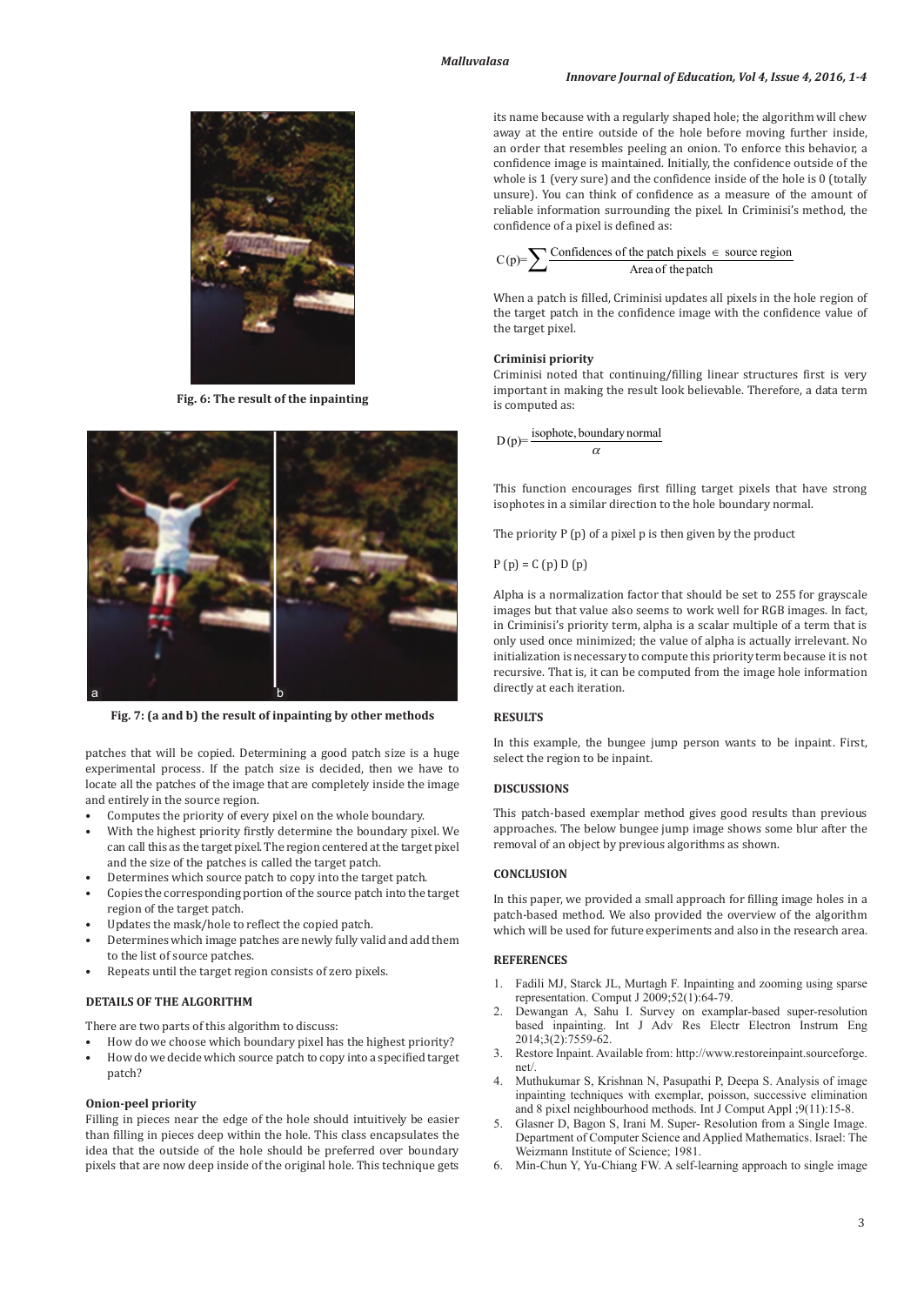

**Fig. 6: The result of the inpainting**



**Fig. 7: (a and b) the result of inpainting by other methods**

patches that will be copied. Determining a good patch size is a huge experimental process. If the patch size is decided, then we have to locate all the patches of the image that are completely inside the image and entirely in the source region.

- Computes the priority of every pixel on the whole boundary.
- With the highest priority firstly determine the boundary pixel. We can call this as the target pixel. The region centered at the target pixel and the size of the patches is called the target patch.
- Determines which source patch to copy into the target patch.
- Copies the corresponding portion of the source patch into the target region of the target patch.
- Updates the mask/hole to reflect the copied patch.
- Determines which image patches are newly fully valid and add them to the list of source patches.
- Repeats until the target region consists of zero pixels.

### **DETAILS OF THE ALGORITHM**

There are two parts of this algorithm to discuss:

- How do we choose which boundary pixel has the highest priority?
- How do we decide which source patch to copy into a specified target patch?

#### **Onion-peel priority**

Filling in pieces near the edge of the hole should intuitively be easier than filling in pieces deep within the hole. This class encapsulates the idea that the outside of the hole should be preferred over boundary pixels that are now deep inside of the original hole. This technique gets its name because with a regularly shaped hole; the algorithm will chew away at the entire outside of the hole before moving further inside, an order that resembles peeling an onion. To enforce this behavior, a confidence image is maintained. Initially, the confidence outside of the whole is 1 (very sure) and the confidence inside of the hole is 0 (totally unsure). You can think of confidence as a measure of the amount of reliable information surrounding the pixel. In Criminisi's method, the confidence of a pixel is defined as:

$$
C(p) = \sum \frac{\text{Confidences of the patch pixels } \in \text{ source region}}{\text{Area of the patch}}
$$

When a patch is filled, Criminisi updates all pixels in the hole region of the target patch in the confidence image with the confidence value of the target pixel.

#### **Criminisi priority**

Criminisi noted that continuing/filling linear structures first is very important in making the result look believable. Therefore, a data term is computed as:

 $D(p)$ = isophote, boundary normal  $\alpha$ 

This function encourages first filling target pixels that have strong isophotes in a similar direction to the hole boundary normal.

The priority P (p) of a pixel p is then given by the product

 $P(p) = C(p) D(p)$ 

Alpha is a normalization factor that should be set to 255 for grayscale images but that value also seems to work well for RGB images. In fact, in Criminisi's priority term, alpha is a scalar multiple of a term that is only used once minimized; the value of alpha is actually irrelevant. No initialization is necessary to compute this priority term because it is not recursive. That is, it can be computed from the image hole information directly at each iteration.

### **RESULTS**

In this example, the bungee jump person wants to be inpaint. First, select the region to be inpaint.

# **DISCUSSIONS**

This patch-based exemplar method gives good results than previous approaches. The below bungee jump image shows some blur after the removal of an object by previous algorithms as shown.

# **CONCLUSION**

In this paper, we provided a small approach for filling image holes in a patch-based method. We also provided the overview of the algorithm which will be used for future experiments and also in the research area.

### **REFERENCES**

- 1. Fadili MJ, Starck JL, Murtagh F. Inpainting and zooming using sparse representation. Comput J 2009;52(1):64-79.
- 2. Dewangan A, Sahu I. Survey on examplar-based super-resolution based inpainting. Int J Adv Res Electr Electron Instrum Eng 2014;3(2):7559-62.
- 3. Restore Inpaint. Available from: http://www.restoreinpaint.sourceforge. net/.
- 4. Muthukumar S, Krishnan N, Pasupathi P, Deepa S. Analysis of image inpainting techniques with exemplar, poisson, successive elimination and 8 pixel neighbourhood methods. Int J Comput Appl ;9(11):15-8.
- 5. Glasner D, Bagon S, Irani M. Super- Resolution from a Single Image. Department of Computer Science and Applied Mathematics. Israel: The Weizmann Institute of Science; 1981.
- 6. Min-Chun Y, Yu-Chiang FW. A self-learning approach to single image